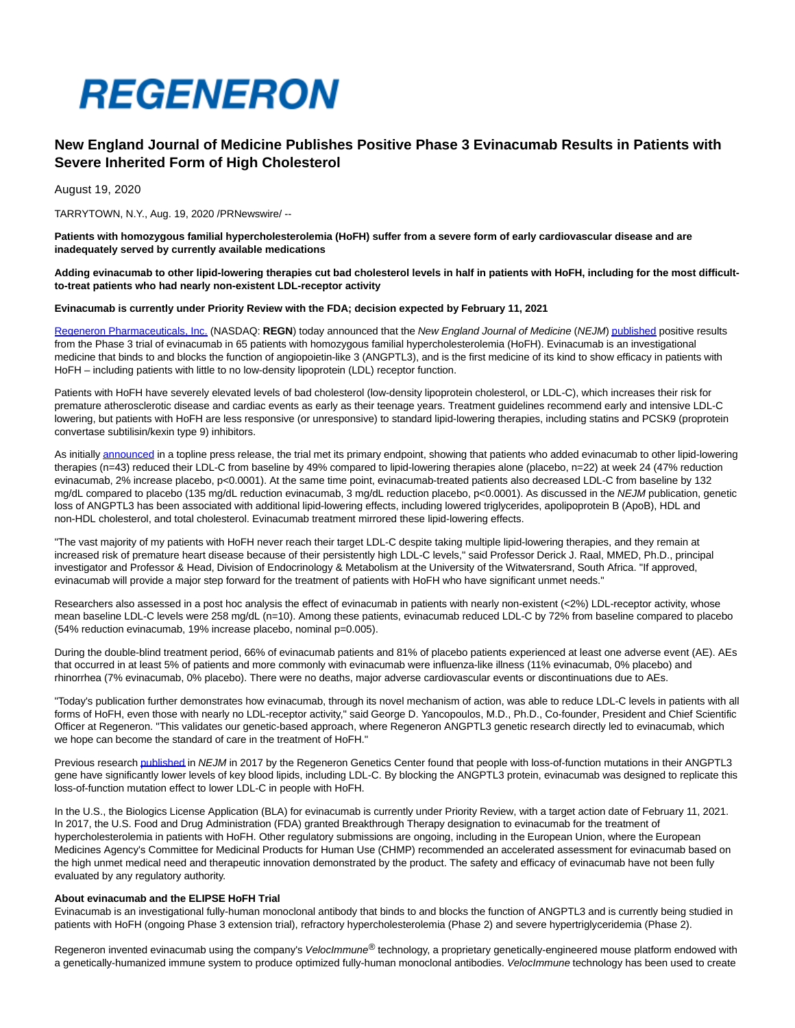

# **New England Journal of Medicine Publishes Positive Phase 3 Evinacumab Results in Patients with Severe Inherited Form of High Cholesterol**

August 19, 2020

TARRYTOWN, N.Y., Aug. 19, 2020 /PRNewswire/ --

**Patients with homozygous familial hypercholesterolemia (HoFH) suffer from a severe form of early cardiovascular disease and are inadequately served by currently available medications**

**Adding evinacumab to other lipid-lowering therapies cut bad cholesterol levels in half in patients with HoFH, including for the most difficultto-treat patients who had nearly non-existent LDL-receptor activity**

## **Evinacumab is currently under Priority Review with the FDA; decision expected by February 11, 2021**

[Regeneron Pharmaceuticals, Inc. \(](https://c212.net/c/link/?t=0&l=en&o=2891155-1&h=2269716235&u=http%3A%2F%2Fwww.regeneron.com%2F&a=Regeneron+Pharmaceuticals%2C+Inc.)NASDAQ: **REGN**) today announced that the New England Journal of Medicine (NEJM[\) published p](https://www.nejm.org/doi/full/10.1056/NEJMoa2004215)ositive results from the Phase 3 trial of evinacumab in 65 patients with homozygous familial hypercholesterolemia (HoFH). Evinacumab is an investigational medicine that binds to and blocks the function of angiopoietin-like 3 (ANGPTL3), and is the first medicine of its kind to show efficacy in patients with HoFH – including patients with little to no low-density lipoprotein (LDL) receptor function.

Patients with HoFH have severely elevated levels of bad cholesterol (low-density lipoprotein cholesterol, or LDL-C), which increases their risk for premature atherosclerotic disease and cardiac events as early as their teenage years. Treatment guidelines recommend early and intensive LDL-C lowering, but patients with HoFH are less responsive (or unresponsive) to standard lipid-lowering therapies, including statins and PCSK9 (proprotein convertase subtilisin/kexin type 9) inhibitors.

As initiall[y announced i](https://c212.net/c/link/?t=0&l=en&o=2891155-1&h=3936379183&u=https%3A%2F%2Finvestor.regeneron.com%2Fnews-releases%2Fnews-release-details%2Fregeneron-announces-positive-topline-results-phase-3-trial&a=announced)n a topline press release, the trial met its primary endpoint, showing that patients who added evinacumab to other lipid-lowering therapies (n=43) reduced their LDL-C from baseline by 49% compared to lipid-lowering therapies alone (placebo, n=22) at week 24 (47% reduction evinacumab, 2% increase placebo, p<0.0001). At the same time point, evinacumab-treated patients also decreased LDL-C from baseline by 132 mg/dL compared to placebo (135 mg/dL reduction evinacumab, 3 mg/dL reduction placebo, p<0.0001). As discussed in the NEJM publication, genetic loss of ANGPTL3 has been associated with additional lipid-lowering effects, including lowered triglycerides, apolipoprotein B (ApoB), HDL and non-HDL cholesterol, and total cholesterol. Evinacumab treatment mirrored these lipid-lowering effects.

"The vast majority of my patients with HoFH never reach their target LDL-C despite taking multiple lipid-lowering therapies, and they remain at increased risk of premature heart disease because of their persistently high LDL-C levels," said Professor Derick J. Raal, MMED, Ph.D., principal investigator and Professor & Head, Division of Endocrinology & Metabolism at the University of the Witwatersrand, South Africa. "If approved, evinacumab will provide a major step forward for the treatment of patients with HoFH who have significant unmet needs."

Researchers also assessed in a post hoc analysis the effect of evinacumab in patients with nearly non-existent (<2%) LDL-receptor activity, whose mean baseline LDL-C levels were 258 mg/dL (n=10). Among these patients, evinacumab reduced LDL-C by 72% from baseline compared to placebo (54% reduction evinacumab, 19% increase placebo, nominal p=0.005).

During the double-blind treatment period, 66% of evinacumab patients and 81% of placebo patients experienced at least one adverse event (AE). AEs that occurred in at least 5% of patients and more commonly with evinacumab were influenza-like illness (11% evinacumab, 0% placebo) and rhinorrhea (7% evinacumab, 0% placebo). There were no deaths, major adverse cardiovascular events or discontinuations due to AEs.

"Today's publication further demonstrates how evinacumab, through its novel mechanism of action, was able to reduce LDL-C levels in patients with all forms of HoFH, even those with nearly no LDL-receptor activity," said George D. Yancopoulos, M.D., Ph.D., Co-founder, President and Chief Scientific Officer at Regeneron. "This validates our genetic-based approach, where Regeneron ANGPTL3 genetic research directly led to evinacumab, which we hope can become the standard of care in the treatment of HoFH."

Previous researc[h published i](https://c212.net/c/link/?t=0&l=en&o=2891155-1&h=2376594207&u=https%3A%2F%2Fc212.net%2Fc%2Flink%2F%3Ft%3D0%26l%3Den%26o%3D2764115-1%26h%3D4139125594%26u%3Dhttps%253A%252F%252Fc212.net%252Fc%252Flink%252F%253Ft%253D0%2526l%253Den%2526o%253D2550992-1%2526h%253D2065772958%2526u%253Dhttps%25253A%25252F%25252Fwww.nejm.org%25252Fdoi%25252Ffull%25252F10.1056%25252FNEJMoa1612790%2526a%253Dpublished%26a%3Dpublished&a=published)n NEJM in 2017 by the Regeneron Genetics Center found that people with loss-of-function mutations in their ANGPTL3 gene have significantly lower levels of key blood lipids, including LDL-C. By blocking the ANGPTL3 protein, evinacumab was designed to replicate this loss-of-function mutation effect to lower LDL-C in people with HoFH.

In the U.S., the Biologics License Application (BLA) for evinacumab is currently under Priority Review, with a target action date of February 11, 2021. In 2017, the U.S. Food and Drug Administration (FDA) granted Breakthrough Therapy designation to evinacumab for the treatment of hypercholesterolemia in patients with HoFH. Other regulatory submissions are ongoing, including in the European Union, where the European Medicines Agency's Committee for Medicinal Products for Human Use (CHMP) recommended an accelerated assessment for evinacumab based on the high unmet medical need and therapeutic innovation demonstrated by the product. The safety and efficacy of evinacumab have not been fully evaluated by any regulatory authority.

## **About evinacumab and the ELIPSE HoFH Trial**

Evinacumab is an investigational fully-human monoclonal antibody that binds to and blocks the function of ANGPTL3 and is currently being studied in patients with HoFH (ongoing Phase 3 extension trial), refractory hypercholesterolemia (Phase 2) and severe hypertriglyceridemia (Phase 2).

Regeneron invented evinacumab using the company's Veloclmmune® technology, a proprietary genetically-engineered mouse platform endowed with a genetically-humanized immune system to produce optimized fully-human monoclonal antibodies. VelocImmune technology has been used to create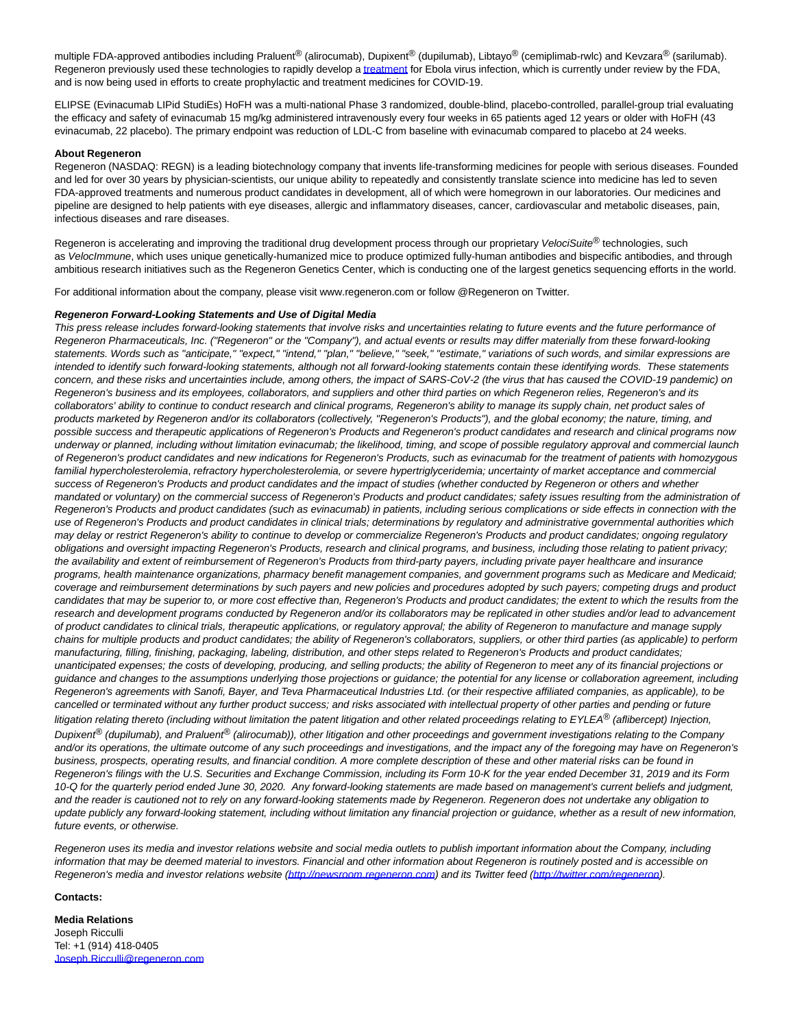multiple FDA-approved antibodies including Praluent<sup>®</sup> (alirocumab), Dupixent<sup>®</sup> (dupilumab), Libtayo<sup>®</sup> (cemiplimab-rwlc) and Kevzara<sup>®</sup> (sarilumab). Regeneron previously used these technologies to rapidly develop [a treatment f](https://c212.net/c/link/?t=0&l=en&o=2891155-1&h=1922826221&u=https%3A%2F%2Fc212.net%2Fc%2Flink%2F%3Ft%3D0%26l%3Den%26o%3D2764115-1%26h%3D3782017762%26u%3Dhttps%253A%252F%252Fc212.net%252Fc%252Flink%252F%253Ft%253D0%2526l%253Den%2526o%253D2753554-1%2526h%253D3143220097%2526u%253Dhttps%25253A%25252F%25252Fnewsroom.regeneron.com%25252Fnews-releases%25252Fnews-release-details%25252Fpalm-ebola-clinical-trial-stopped-early-regenerons-regn-eb3%2526a%253Dsuccessful%252Btreatment%26a%3Dtreatment&a=treatment)or Ebola virus infection, which is currently under review by the FDA, and is now being used in efforts to create prophylactic and treatment medicines for COVID-19.

ELIPSE (Evinacumab LIPid StudiEs) HoFH was a multi-national Phase 3 randomized, double-blind, placebo-controlled, parallel-group trial evaluating the efficacy and safety of evinacumab 15 mg/kg administered intravenously every four weeks in 65 patients aged 12 years or older with HoFH (43 evinacumab, 22 placebo). The primary endpoint was reduction of LDL-C from baseline with evinacumab compared to placebo at 24 weeks.

## **About Regeneron**

Regeneron (NASDAQ: REGN) is a leading biotechnology company that invents life-transforming medicines for people with serious diseases. Founded and led for over 30 years by physician-scientists, our unique ability to repeatedly and consistently translate science into medicine has led to seven FDA-approved treatments and numerous product candidates in development, all of which were homegrown in our laboratories. Our medicines and pipeline are designed to help patients with eye diseases, allergic and inflammatory diseases, cancer, cardiovascular and metabolic diseases, pain, infectious diseases and rare diseases.

Regeneron is accelerating and improving the traditional drug development process through our proprietary VelociSuite® technologies, such as VelocImmune, which uses unique genetically-humanized mice to produce optimized fully-human antibodies and bispecific antibodies, and through ambitious research initiatives such as the Regeneron Genetics Center, which is conducting one of the largest genetics sequencing efforts in the world.

For additional information about the company, please visit www.regeneron.com or follow @Regeneron on Twitter.

## **Regeneron Forward-Looking Statements and Use of Digital Media**

This press release includes forward-looking statements that involve risks and uncertainties relating to future events and the future performance of Regeneron Pharmaceuticals, Inc. ("Regeneron" or the "Company"), and actual events or results may differ materially from these forward-looking statements. Words such as "anticipate," "expect," "intend," "plan," "believe," "seek," "estimate," variations of such words, and similar expressions are intended to identify such forward-looking statements, although not all forward-looking statements contain these identifying words. These statements concern, and these risks and uncertainties include, among others, the impact of SARS-CoV-2 (the virus that has caused the COVID-19 pandemic) on Regeneron's business and its employees, collaborators, and suppliers and other third parties on which Regeneron relies, Regeneron's and its collaborators' ability to continue to conduct research and clinical programs, Regeneron's ability to manage its supply chain, net product sales of products marketed by Regeneron and/or its collaborators (collectively, "Regeneron's Products"), and the global economy; the nature, timing, and possible success and therapeutic applications of Regeneron's Products and Regeneron's product candidates and research and clinical programs now underway or planned, including without limitation evinacumab; the likelihood, timing, and scope of possible regulatory approval and commercial launch of Regeneron's product candidates and new indications for Regeneron's Products, such as evinacumab for the treatment of patients with homozygous familial hypercholesterolemia, refractory hypercholesterolemia, or severe hypertriglyceridemia; uncertainty of market acceptance and commercial success of Regeneron's Products and product candidates and the impact of studies (whether conducted by Regeneron or others and whether mandated or voluntary) on the commercial success of Regeneron's Products and product candidates; safety issues resulting from the administration of Regeneron's Products and product candidates (such as evinacumab) in patients, including serious complications or side effects in connection with the use of Regeneron's Products and product candidates in clinical trials; determinations by regulatory and administrative governmental authorities which may delay or restrict Regeneron's ability to continue to develop or commercialize Regeneron's Products and product candidates; ongoing regulatory obligations and oversight impacting Regeneron's Products, research and clinical programs, and business, including those relating to patient privacy; the availability and extent of reimbursement of Regeneron's Products from third-party payers, including private payer healthcare and insurance programs, health maintenance organizations, pharmacy benefit management companies, and government programs such as Medicare and Medicaid; coverage and reimbursement determinations by such payers and new policies and procedures adopted by such payers; competing drugs and product candidates that may be superior to, or more cost effective than, Regeneron's Products and product candidates; the extent to which the results from the research and development programs conducted by Regeneron and/or its collaborators may be replicated in other studies and/or lead to advancement of product candidates to clinical trials, therapeutic applications, or regulatory approval; the ability of Regeneron to manufacture and manage supply chains for multiple products and product candidates; the ability of Regeneron's collaborators, suppliers, or other third parties (as applicable) to perform manufacturing, filling, finishing, packaging, labeling, distribution, and other steps related to Regeneron's Products and product candidates; unanticipated expenses; the costs of developing, producing, and selling products; the ability of Regeneron to meet any of its financial projections or guidance and changes to the assumptions underlying those projections or guidance; the potential for any license or collaboration agreement, including Regeneron's agreements with Sanofi, Bayer, and Teva Pharmaceutical Industries Ltd. (or their respective affiliated companies, as applicable), to be cancelled or terminated without any further product success; and risks associated with intellectual property of other parties and pending or future litigation relating thereto (including without limitation the patent litigation and other related proceedings relating to  $EYLEA<sup>®</sup>$  (aflibercept) Injection, Dupixent<sup>®</sup> (dupilumab), and Praluent<sup>®</sup> (alirocumab)), other litigation and other proceedings and government investigations relating to the Company and/or its operations, the ultimate outcome of any such proceedings and investigations, and the impact any of the foregoing may have on Regeneron's business, prospects, operating results, and financial condition. A more complete description of these and other material risks can be found in Regeneron's filings with the U.S. Securities and Exchange Commission, including its Form 10-K for the year ended December 31, 2019 and its Form 10-Q for the quarterly period ended June 30, 2020. Any forward-looking statements are made based on management's current beliefs and judgment, and the reader is cautioned not to rely on any forward-looking statements made by Regeneron. Regeneron does not undertake any obligation to update publicly any forward-looking statement, including without limitation any financial projection or guidance, whether as a result of new information, future events, or otherwise.

Regeneron uses its media and investor relations website and social media outlets to publish important information about the Company, including information that may be deemed material to investors. Financial and other information about Regeneron is routinely posted and is accessible on Regeneron's media and investor relations website [\(http://newsroom.regeneron.com\)](http://newsroom.regeneron.com/) and its Twitter feed [\(http://twitter.com/regeneron\).](https://c212.net/c/link/?t=0&l=en&o=2891155-1&h=2286366440&u=http%3A%2F%2Ftwitter.com%2Fregeneron&a=http%3A%2F%2Ftwitter.com%2Fregeneron)

### **Contacts:**

**Media Relations**  Joseph Ricculli Tel: +1 (914) 418-0405 [Joseph.Ricculli@regeneron.com](mailto:Joseph.Ricculli@regeneron.com)